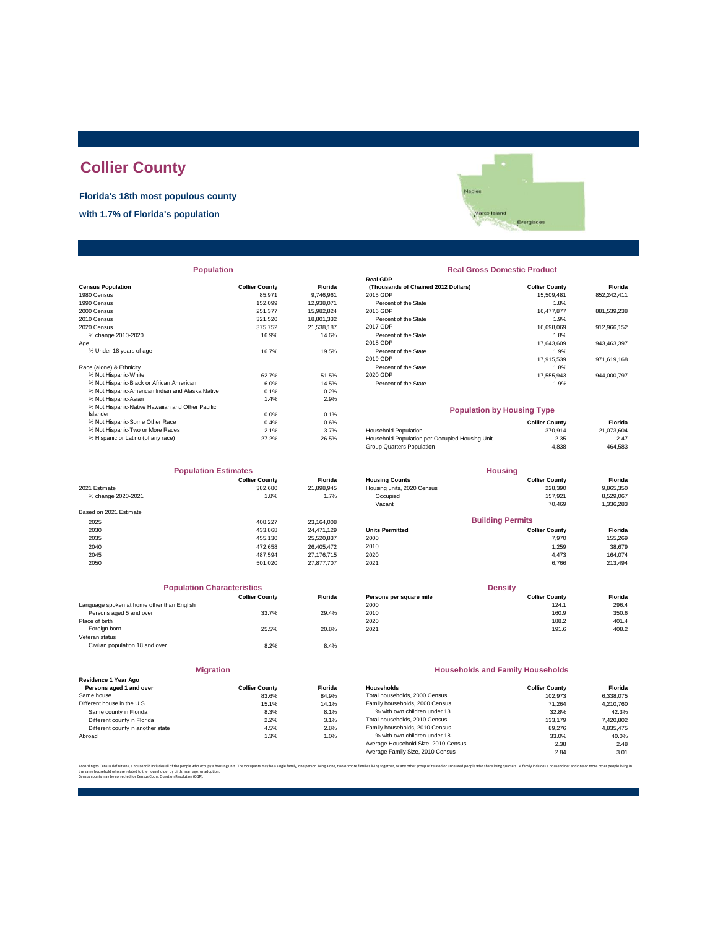# **Collier County**

**Florida's 18th most populous county**

**with 1.7% of Florida's population**

ples<br>Marco Island<br>Everglades Naples

|  | <b>Population</b> |  |
|--|-------------------|--|

|                                                  |                       |                | <b>Real GDP</b>                                |                       |             |
|--------------------------------------------------|-----------------------|----------------|------------------------------------------------|-----------------------|-------------|
| <b>Census Population</b>                         | <b>Collier County</b> | <b>Florida</b> | (Thousands of Chained 2012 Dollars)            | <b>Collier County</b> | Florida     |
| 1980 Census                                      | 85.971                | 9.746.961      | 2015 GDP                                       | 15,509,481            | 852,242,411 |
| 1990 Census                                      | 152,099               | 12,938,071     | Percent of the State                           | 1.8%                  |             |
| 2000 Census                                      | 251.377               | 15.982.824     | 2016 GDP                                       | 16,477,877            | 881,539,238 |
| 2010 Census                                      | 321,520               | 18,801,332     | Percent of the State                           | 1.9%                  |             |
| 2020 Census                                      | 375.752               | 21.538.187     | 2017 GDP                                       | 16.698.069            | 912,966,152 |
| % change 2010-2020                               | 16.9%                 | 14.6%          | Percent of the State                           | 1.8%                  |             |
| Age                                              |                       |                | 2018 GDP                                       | 17.643.609            | 943,463,397 |
| % Under 18 years of age                          | 16.7%                 | 19.5%          | Percent of the State                           | 1.9%                  |             |
|                                                  |                       |                | 2019 GDP                                       | 17,915,539            | 971,619,168 |
| Race (alone) & Ethnicity                         |                       |                | Percent of the State                           | 1.8%                  |             |
| % Not Hispanic-White                             | 62.7%                 | 51.5%          | 2020 GDP                                       | 17,555,943            | 944,000,797 |
| % Not Hispanic-Black or African American         | 6.0%                  | 14.5%          | Percent of the State                           | 1.9%                  |             |
| % Not Hispanic-American Indian and Alaska Native | 0.1%                  | 0.2%           |                                                |                       |             |
| % Not Hispanic-Asian                             | 1.4%                  | 2.9%           |                                                |                       |             |
| % Not Hispanic-Native Hawaiian and Other Pacific |                       |                | <b>Population by Housing Type</b>              |                       |             |
| Islander                                         | 0.0%                  | 0.1%           |                                                |                       |             |
| % Not Hispanic-Some Other Race                   | 0.4%                  | 0.6%           |                                                | <b>Collier County</b> | Florida     |
| % Not Hispanic-Two or More Races                 | 2.1%                  | 3.7%           | <b>Household Population</b>                    | 370,914               | 21,073,604  |
| % Hispanic or Latino (of any race)               | 27.2%                 | 26.5%          | Household Population per Occupied Housing Unit | 2.35                  | 2.47        |
|                                                  |                       |                |                                                |                       |             |

| <b>Population Estimates</b> |                       | <b>Housing</b> |                            |                         |           |
|-----------------------------|-----------------------|----------------|----------------------------|-------------------------|-----------|
|                             | <b>Collier County</b> | <b>Florida</b> | <b>Housing Counts</b>      | <b>Collier County</b>   | Florida   |
| 2021 Estimate               | 382.680               | 21,898,945     | Housing units, 2020 Census | 228,390                 | 9,865,350 |
| % change 2020-2021          | 1.8%                  | 1.7%           | Occupied                   | 157.921                 | 8,529,067 |
|                             |                       |                | Vacant                     | 70.469                  | 1,336,283 |
| Based on 2021 Estimate      |                       |                |                            |                         |           |
| 2025                        | 408.227               | 23.164.008     |                            | <b>Building Permits</b> |           |
| 2030                        | 433.868               | 24.471.129     | <b>Units Permitted</b>     | <b>Collier County</b>   | Florida   |
| 2035                        | 455.130               | 25,520,837     | 2000                       | 7.970                   | 155,269   |
| 2040                        | 472.658               | 26.405.472     | 2010                       | 1,259                   | 38,679    |
| 2045                        | 487.594               | 27.176.715     | 2020                       | 4,473                   | 164.074   |
| 2050                        | 501.020               | 27.877.707     | 2021                       | 6,766                   | 213,494   |

| <b>Population Characteristics</b>          |                       |                |
|--------------------------------------------|-----------------------|----------------|
|                                            | <b>Collier County</b> | <b>Florida</b> |
| Language spoken at home other than English |                       |                |
| Persons aged 5 and over                    | 33.7%                 | 29.4%          |
| Place of birth                             |                       |                |
| Foreign born                               | 25.5%                 | 20.8%          |
| Veteran status                             |                       |                |
| Civilian population 18 and over            | 8.2%                  | 8.4%           |
|                                            |                       |                |
|                                            |                       |                |

| Residence 1 Year Ago              |                       |               |
|-----------------------------------|-----------------------|---------------|
| Persons aged 1 and over           | <b>Collier County</b> | <b>Florid</b> |
| Same house                        | 83.6%                 | 84.9%         |
| Different house in the U.S.       | 15.1%                 | 14.19         |
| Same county in Florida            | 8.3%                  | 8.1%          |
| Different county in Florida       | 2.2%                  | 3.1%          |
| Different county in another state | 4.5%                  | 2.8%          |
| Abroad                            | 1.3%                  | 1.0%          |

**Migration**

| <b>Population</b> |                       |                |                                     | <b>Real Gross Domestic Product</b> |             |
|-------------------|-----------------------|----------------|-------------------------------------|------------------------------------|-------------|
|                   |                       |                | <b>Real GDP</b>                     |                                    |             |
|                   | <b>Collier County</b> | <b>Florida</b> | (Thousands of Chained 2012 Dollars) | <b>Collier County</b>              | Florida     |
|                   | 85.971                | 9.746.961      | 2015 GDP                            | 15,509,481                         | 852,242,411 |
|                   | 152.099               | 12.938.071     | Percent of the State                | 1.8%                               |             |
|                   | 251,377               | 15.982.824     | 2016 GDP                            | 16.477.877                         | 881,539,238 |
|                   | 321,520               | 18,801,332     | Percent of the State                | 1.9%                               |             |
|                   | 375.752               | 21.538.187     | 2017 GDP                            | 16.698.069                         | 912,966,152 |
|                   | 16.9%                 | 14.6%          | Percent of the State                | 1.8%                               |             |
|                   |                       |                | 2018 GDP                            | 17.643.609                         | 943,463,397 |
|                   | 16.7%                 | 19.5%          | Percent of the State                | 1.9%                               |             |
|                   |                       |                | 2019 GDP                            | 17.915.539                         | 971,619,168 |
|                   |                       |                | Percent of the State                | 1.8%                               |             |
|                   | 62.7%                 | 51.5%          | 2020 GDP                            | 17.555.943                         | 944.000.797 |
| n.                | 6.0%                  | 14.5%          | Percent of the State                | 1.9%                               |             |
| ska Native        | 0.1%                  | 0.2%           |                                     |                                    |             |
|                   |                       |                |                                     |                                    |             |

## **Population by Housing Type**

| % Not Hispanic-Some Other Race     | 0.4%  | 0.6%  |                                                | <b>Collier County</b> | Florida    |
|------------------------------------|-------|-------|------------------------------------------------|-----------------------|------------|
| % Not Hispanic-Two or More Races   | 2.1%  | 3.7%  | <b>Household Population</b>                    | 370.914               | 21.073.604 |
| % Hispanic or Latino (of any race) | 27.2% | 26.5% | Household Population per Occupied Housing Unit | 2.35                  | 2.47       |
|                                    |       |       | Group Quarters Population                      | 4.838                 | 464.583    |
|                                    |       |       |                                                |                       |            |

| <b>Population Estimates</b> |                          | <b>Housing</b>    |                            |                         |             |
|-----------------------------|--------------------------|-------------------|----------------------------|-------------------------|-------------|
|                             | <b>Collier County</b>    | <b>Florida</b>    | <b>Housing Counts</b>      | <b>Collier County</b>   | Florida     |
| 2021 Estimate               | 382.680                  | 21.898.945        | Housing units, 2020 Census | 228,390                 | 9,865,350   |
| % change 2020-2021          | Occupied<br>1.8%<br>1.7% | 157.921           | 8,529,067                  |                         |             |
|                             |                          |                   | Vacant                     | 70.469                  | 1,336,283   |
| Based on 2021 Estimate      |                          |                   |                            |                         |             |
| 2025                        | 408.227                  | 23.164.008        |                            | <b>Building Permits</b> |             |
| 2030                        | 433.868                  | 24.471.129        | <b>Units Permitted</b>     | <b>Collier County</b>   | Florida     |
| 2035                        | 455.130                  | 25,520,837        | 2000                       | 7.970                   | 155,269     |
| 2040                        | 472.658                  | 26,405,472        | 2010                       | 1.259                   | 38,679      |
| 0015                        | 107E01                   | <b>07 470 745</b> | 2020.                      | $A$ $A$ <sub>79</sub>   | $ACA$ $07A$ |

| <b>Density</b>        |         |  |
|-----------------------|---------|--|
| <b>Collier County</b> | Florida |  |
| 124.1                 | 296.4   |  |
| 160.9                 | 350.6   |  |
| 188.2                 | 401.4   |  |
| 191.6                 | 408.2   |  |
|                       |         |  |

## **Households and Family Households**

| <b>Collier County</b> | <b>Florida</b> | Households                          | <b>Collier County</b> | Florida   |
|-----------------------|----------------|-------------------------------------|-----------------------|-----------|
| 83.6%                 | 84.9%          | Total households, 2000 Census       | 102.973               | 6.338.075 |
| 15.1%                 | 14.1%          | Family households, 2000 Census      | 71.264                | 4.210.760 |
| 8.3%                  | 8.1%           | % with own children under 18        | 32.8%                 | 42.3%     |
| 2.2%                  | 3.1%           | Total households, 2010 Census       | 133.179               | 7,420,802 |
| 4.5%                  | 2.8%           | Family households, 2010 Census      | 89,276                | 4.835.475 |
| 1.3%                  | 1.0%           | % with own children under 18        | 33.0%                 | 40.0%     |
|                       |                | Average Household Size, 2010 Census | 2.38                  | 2.48      |
|                       |                | Average Family Size, 2010 Census    | 2.84                  | 3.01      |
|                       |                |                                     |                       |           |

.<br>lies living together, or any other group of related or unrelated people who share living quarters. A family includes a householder and one or more other the same household who are related to the householder by birth, marriage, or adoption. Census counts may be corrected for Census Count Question Resolution (CQR).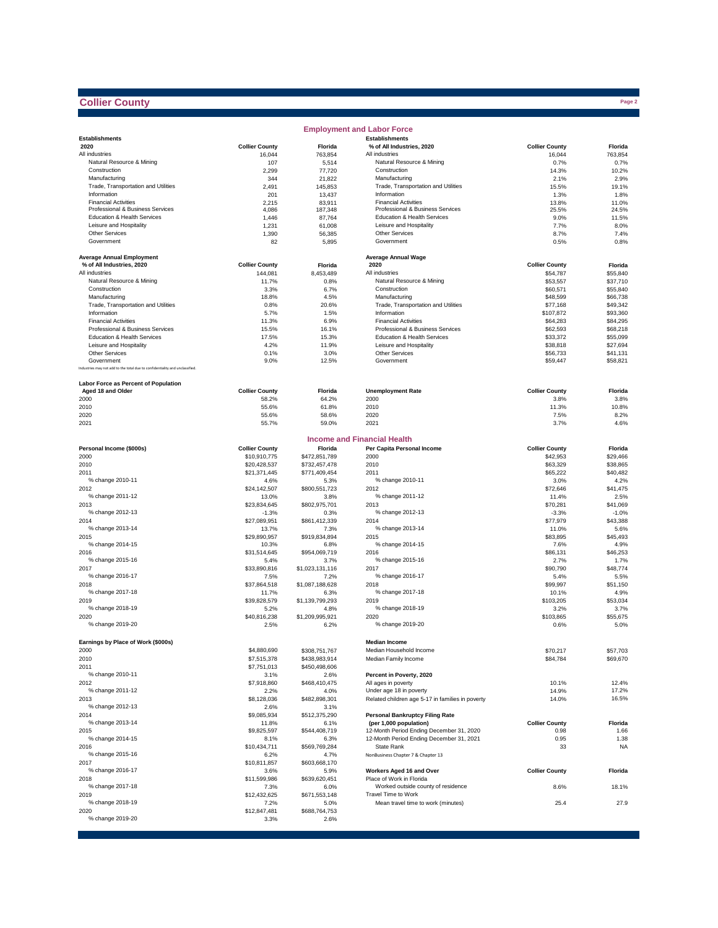## **Collier County**

|                                                                              |                                       |                                | <b>Employment and Labor Force</b>                      |                       |                      |
|------------------------------------------------------------------------------|---------------------------------------|--------------------------------|--------------------------------------------------------|-----------------------|----------------------|
| <b>Establishments</b>                                                        |                                       |                                | <b>Establishments</b>                                  |                       |                      |
| 2020                                                                         | <b>Collier County</b>                 | <b>Florida</b>                 | % of All Industries, 2020                              | <b>Collier County</b> | Florida              |
| All industries                                                               | 16,044                                | 763,854                        | All industries                                         | 16,044                | 763,854              |
| Natural Resource & Mining<br>Construction                                    | 107                                   | 5,514                          | Natural Resource & Mining<br>Construction              | 0.7%                  | 0.7%                 |
| Manufacturing                                                                | 2,299<br>344                          | 77,720<br>21,822               | Manufacturing                                          | 14.3%<br>2.1%         | 10.2%<br>2.9%        |
| Trade, Transportation and Utilities                                          | 2,491                                 | 145,853                        | Trade, Transportation and Utilities                    | 15.5%                 | 19.1%                |
| Information                                                                  | 201                                   | 13,437                         | Information                                            | 1.3%                  | 1.8%                 |
| <b>Financial Activities</b>                                                  | 2,215                                 | 83,911                         | <b>Financial Activities</b>                            | 13.8%                 | 11.0%                |
| Professional & Business Services                                             | 4,086                                 | 187,348                        | Professional & Business Services                       | 25.5%                 | 24.5%                |
| Education & Health Services                                                  | 1,446                                 | 87,764                         | <b>Education &amp; Health Services</b>                 | 9.0%                  | 11.5%                |
| Leisure and Hospitality                                                      | 1,231                                 | 61,008                         | Leisure and Hospitality                                | 7.7%                  | 8.0%                 |
| Other Services                                                               | 1,390                                 | 56,385                         | Other Services                                         | 8.7%                  | 7.4%                 |
| Government                                                                   | 82                                    | 5,895                          | Government                                             | 0.5%                  | 0.8%                 |
|                                                                              |                                       |                                |                                                        |                       |                      |
| <b>Average Annual Employment</b>                                             |                                       |                                | <b>Average Annual Wage</b>                             |                       |                      |
| % of All Industries, 2020                                                    | <b>Collier County</b>                 | Florida                        | 2020                                                   | <b>Collier County</b> | Florida              |
| All industries                                                               | 144,081                               | 8,453,489                      | All industries                                         | \$54,787              | \$55,840             |
| Natural Resource & Mining                                                    | 11.7%                                 | 0.8%                           | Natural Resource & Mining                              | \$53,557              | \$37,710             |
| Construction                                                                 | 3.3%                                  | 6.7%                           | Construction                                           | \$60,571              | \$55,840             |
| Manufacturing<br>Trade, Transportation and Utilities                         | 18.8%<br>0.8%                         | 4.5%<br>20.6%                  | Manufacturing<br>Trade, Transportation and Utilities   | \$48,599              | \$66,738<br>\$49,342 |
| Information                                                                  | 5.7%                                  | 1.5%                           | Information                                            | \$77,168<br>\$107,872 | \$93,360             |
| <b>Financial Activities</b>                                                  | 11.3%                                 | 6.9%                           | <b>Financial Activities</b>                            | \$64,283              | \$84,295             |
| Professional & Business Services                                             | 15.5%                                 | 16.1%                          | Professional & Business Services                       | \$62,593              | \$68,218             |
| Education & Health Services                                                  | 17.5%                                 | 15.3%                          | Education & Health Services                            | \$33,372              | \$55,099             |
| Leisure and Hospitality                                                      | 4.2%                                  | 11.9%                          | Leisure and Hospitality                                | \$38,818              | \$27,694             |
| <b>Other Services</b>                                                        | 0.1%                                  | 3.0%                           | Other Services                                         | \$56,733              | \$41,131             |
| Government                                                                   | 9.0%                                  | 12.5%                          | Government                                             | \$59,447              | \$58,821             |
| Industries may not add to the total due to confidentiality and unclassified. |                                       |                                |                                                        |                       |                      |
|                                                                              |                                       |                                |                                                        |                       |                      |
| Labor Force as Percent of Population                                         |                                       |                                |                                                        |                       |                      |
| Aged 18 and Older                                                            | <b>Collier County</b>                 | Florida                        | <b>Unemployment Rate</b>                               | <b>Collier County</b> | Florida              |
| 2000                                                                         | 58.2%                                 | 64.2%                          | 2000                                                   | 3.8%                  | 3.8%                 |
| 2010                                                                         | 55.6%                                 | 61.8%                          | 2010                                                   | 11.3%                 | 10.8%                |
| 2020                                                                         | 55.6%                                 | 58.6%                          | 2020                                                   | 7.5%                  | 8.2%                 |
| 2021                                                                         | 55.7%                                 | 59.0%                          | 2021                                                   | 3.7%                  | 4.6%                 |
|                                                                              |                                       |                                | <b>Income and Financial Health</b>                     |                       |                      |
|                                                                              |                                       |                                | Per Capita Personal Income                             |                       |                      |
| Personal Income (\$000s)<br>2000                                             | <b>Collier County</b><br>\$10,910,775 | Florida                        | 2000                                                   | <b>Collier County</b> | Florida<br>\$29,466  |
| 2010                                                                         | \$20,428,537                          | \$472,851,789<br>\$732,457,478 | 2010                                                   | \$42,953<br>\$63,329  | \$38,865             |
| 2011                                                                         | \$21,371,445                          | \$771,409,454                  | 2011                                                   | \$65,222              | \$40,482             |
| % change 2010-11                                                             | 4.6%                                  | 5.3%                           | % change 2010-11                                       | 3.0%                  | 4.2%                 |
| 2012                                                                         | \$24,142,507                          | \$800,551,723                  | 2012                                                   | \$72,646              | \$41,475             |
| % change 2011-12                                                             | 13.0%                                 | 3.8%                           | % change 2011-12                                       | 11.4%                 | 2.5%                 |
| 2013                                                                         | \$23,834,645                          | \$802,975,701                  | 2013                                                   | \$70,281              | \$41,069             |
| % change 2012-13                                                             | $-1.3%$                               | 0.3%                           | % change 2012-13                                       | $-3.3%$               | $-1.0%$              |
| 2014                                                                         | \$27,089,951                          | \$861,412,339                  | 2014                                                   | \$77,979              | \$43,388             |
| % change 2013-14                                                             | 13.7%                                 | 7.3%                           | % change 2013-14                                       | 11.0%                 | 5.6%                 |
| 2015                                                                         | \$29,890,957                          | \$919,834,894                  | 2015                                                   | \$83,895              | \$45,493             |
| % change 2014-15                                                             | 10.3%                                 | 6.8%                           | % change 2014-15                                       | 7.6%                  | 4.9%                 |
| 2016                                                                         | \$31,514,645                          | \$954,069,719                  | 2016                                                   | \$86,131              | \$46,253             |
| % change 2015-16                                                             | 5.4%                                  | 3.7%                           | % change 2015-16                                       | 2.7%                  | 1.7%                 |
| 2017                                                                         | \$33,890,816                          | \$1,023,131,116                | 2017                                                   | \$90,790              | \$48,774             |
| % change 2016-17                                                             | 7.5%                                  | 7.2%                           | % change 2016-17                                       | 5.4%                  | 5.5%                 |
| 2018                                                                         | \$37,864,518                          | \$1,087,188,628                | 2018                                                   | \$99,997              | \$51,150             |
| % change 2017-18                                                             | 11.7%                                 | 6.3%                           | % change 2017-18                                       | 10.1%                 | 4.9%                 |
| 2019                                                                         | \$39,828,579                          | \$1,139,799,293                | 2019                                                   | \$103,205             | \$53,034             |
| % change 2018-19                                                             | 5.2%                                  | 4.8%                           | % change 2018-19                                       | 3.2%                  | 3.7%                 |
| 2020                                                                         | \$40,816,238                          | \$1,209,995,921                | 2020                                                   | \$103,865             | \$55,675             |
| % change 2019-20                                                             | 2.5%                                  | 6.2%                           | % change 2019-20                                       | 0.6%                  | 5.0%                 |
|                                                                              |                                       |                                |                                                        |                       |                      |
| Earnings by Place of Work (\$000s)                                           |                                       |                                | <b>Median Income</b>                                   |                       |                      |
| 2000                                                                         | \$4,880,690                           | \$308,751,767                  | Median Household Income                                | \$70,217              | \$57,703             |
| 2010                                                                         | \$7,515,378                           | \$438,983,914                  | Median Family Income                                   | \$84,784              | \$69,670             |
| 2011                                                                         | \$7,751,013                           | \$450,498,606                  |                                                        |                       |                      |
| % change 2010-11                                                             | 3.1%                                  | 2.6%                           | Percent in Poverty, 2020                               |                       |                      |
| 2012                                                                         | \$7,918,860                           | \$468,410,475                  | All ages in poverty                                    | 10.1%                 | 12.4%                |
| % change 2011-12                                                             | 2.2%                                  | 4.0%                           | Under age 18 in poverty                                | 14.9%                 | 17.2%                |
| 2013                                                                         | \$8,128,036                           | \$482,898,301                  | Related children age 5-17 in families in poverty       | 14.0%                 | 16.5%                |
| % change 2012-13                                                             | 2.6%                                  | 3.1%                           |                                                        |                       |                      |
| 2014                                                                         | \$9,085,934                           | \$512,375,290                  | <b>Personal Bankruptcy Filing Rate</b>                 |                       |                      |
| % change 2013-14                                                             | 11.8%                                 | 6.1%                           | (per 1,000 population)                                 | <b>Collier County</b> | Florida              |
| 2015<br>% change 2014-15                                                     | \$9,825,597                           | \$544,408,719                  | 12-Month Period Ending December 31, 2020               | 0.98                  | 1.66                 |
|                                                                              | 8.1%                                  | 6.3%                           | 12-Month Period Ending December 31, 2021<br>State Rank | 0.95                  | 1.38                 |
| 2016<br>% change 2015-16                                                     | \$10,434,711<br>6.2%                  | \$569,769,284<br>4.7%          | NonBusiness Chapter 7 & Chapter 13                     | 33                    | <b>NA</b>            |
| 2017                                                                         | \$10,811,857                          | \$603,668,170                  |                                                        |                       |                      |
| % change 2016-17                                                             | 3.6%                                  | 5.9%                           | Workers Aged 16 and Over                               | <b>Collier County</b> | Florida              |
| 2018                                                                         | \$11,599,986                          | \$639,620,451                  | Place of Work in Florida                               |                       |                      |
| % change 2017-18                                                             | 7.3%                                  | 6.0%                           | Worked outside county of residence                     | 8.6%                  | 18.1%                |
| 2019                                                                         | \$12,432,625                          | \$671,553,148                  | Travel Time to Work                                    |                       |                      |
| % change 2018-19                                                             | 7.2%                                  | 5.0%                           | Mean travel time to work (minutes)                     | 25.4                  | 27.9                 |
| 2020                                                                         | \$12,847,481                          | \$688,764,753                  |                                                        |                       |                      |
| % change 2019-20                                                             | 3.3%                                  | 2.6%                           |                                                        |                       |                      |